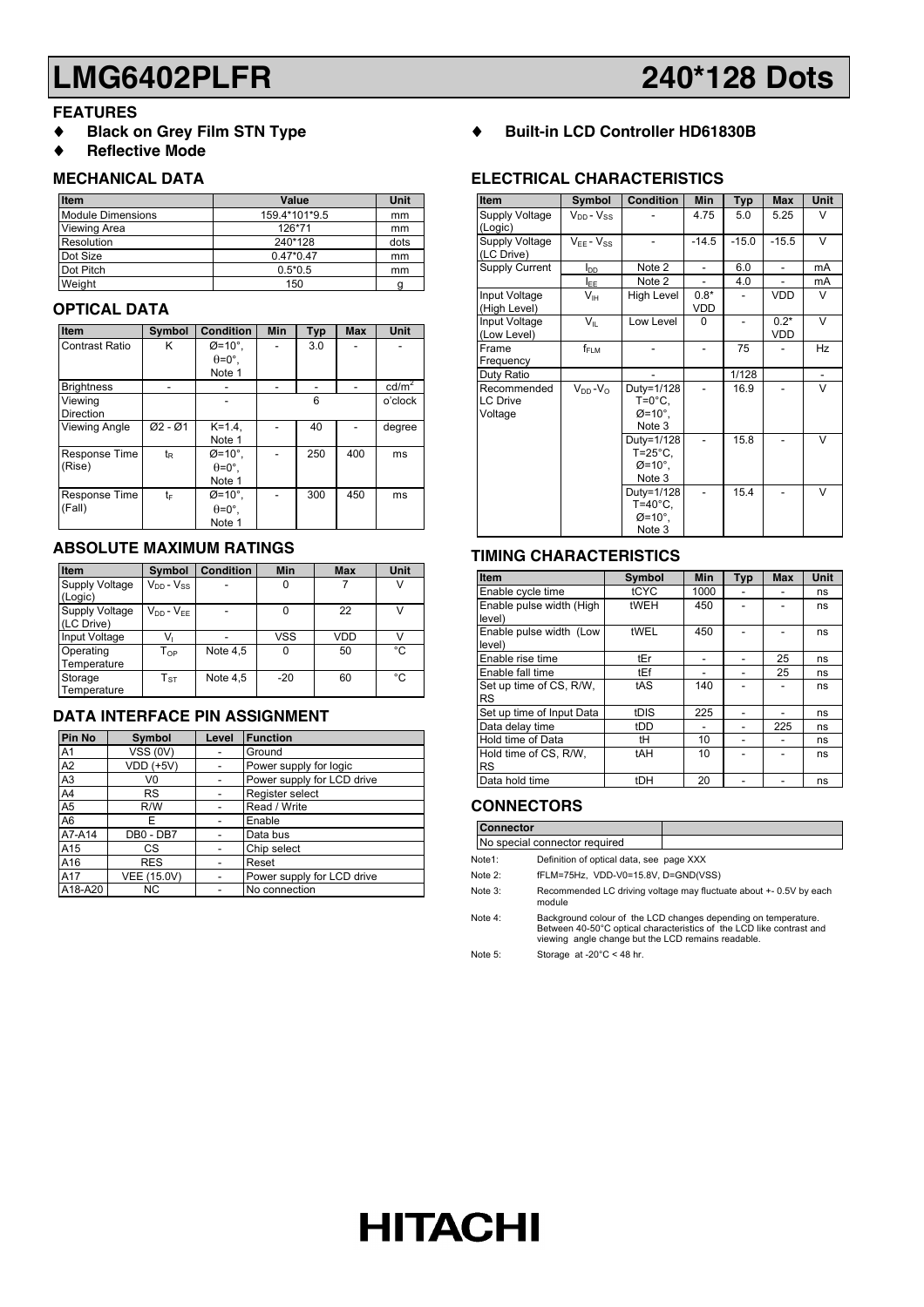## **LMG6402PLFR 240\*128 Dots**

#### **FEATURES**

- ♦ **Black on Grey Film STN Type**
- ♦ **Reflective Mode**

#### **MECHANICAL DATA**

| <b>Item</b>              | Value         | Unit |
|--------------------------|---------------|------|
| <b>Module Dimensions</b> | 159.4*101*9.5 | mm   |
| Viewing Area             | 126*71        | mm   |
| Resolution               | 240*128       | dots |
| Dot Size                 | $0.47*0.47$   | mm   |
| Dot Pitch                | $0.5*0.5$     | mm   |
| Weight                   | 150           | g    |

#### **OPTICAL DATA**

| Item                  | Symbol         | <b>Condition</b>     | <b>Min</b> | Typ | <b>Max</b> | Unit            |
|-----------------------|----------------|----------------------|------------|-----|------------|-----------------|
| <b>Contrast Ratio</b> | κ              | $\varnothing$ =10°.  |            | 3.0 |            |                 |
|                       |                | $\theta = 0^\circ$ . |            |     |            |                 |
|                       |                | Note 1               |            |     |            |                 |
| <b>Brightness</b>     |                |                      |            |     |            | $\text{cd/m}^2$ |
| Viewing               |                |                      | 6          |     |            | o'clock         |
| <b>Direction</b>      |                |                      |            |     |            |                 |
| <b>Viewing Angle</b>  | $Ø2 - Ø1$      | $K = 1.4$ .          |            | 40  |            | degree          |
|                       |                | Note 1               |            |     |            |                 |
| Response Time         | t <sub>R</sub> | $Ø=10^\circ$ .       |            | 250 | 400        | ms              |
| (Rise)                |                | $\theta = 0^\circ$ . |            |     |            |                 |
|                       |                | Note 1               |            |     |            |                 |
| Response Time         | t⊧             | $\varnothing$ =10°.  |            | 300 | 450        | ms              |
| (Fall)                |                | $\theta = 0^\circ$ . |            |     |            |                 |
|                       |                | Note 1               |            |     |            |                 |

### **ABSOLUTE MAXIMUM RATINGS**

| Item                                | Symbol                     | <b>Condition</b> | Min        | <b>Max</b> | Unit          |
|-------------------------------------|----------------------------|------------------|------------|------------|---------------|
| <b>Supply Voltage</b><br>(Logic)    | $V_{DD} - V_{SS}$          |                  | 0          |            |               |
| <b>Supply Voltage</b><br>(LC Drive) | $V_{DD} - V_{EF}$          |                  | 0          | 22         | $\mathcal{U}$ |
| Input Voltage                       | Vı                         |                  | <b>VSS</b> | <b>VDD</b> |               |
| Operating<br>Temperature            | $\mathsf{T}_{\mathsf{OP}}$ | Note 4,5         | 0          | 50         | °C            |
| Storage<br>Temperature              | $T_{ST}$                   | Note 4,5         | $-20$      | 60         | °C            |

### **DATA INTERFACE PIN ASSIGNMENT**

| Pin No         | <b>Symbol</b>    | Level | <b>Function</b>            |
|----------------|------------------|-------|----------------------------|
| A <sub>1</sub> | <b>VSS (0V)</b>  |       | Ground                     |
| A <sub>2</sub> | <b>VDD (+5V)</b> |       | Power supply for logic     |
| A <sub>3</sub> | V0               |       | Power supply for LCD drive |
| A4             | <b>RS</b>        |       | Register select            |
| A <sub>5</sub> | R/W              |       | Read / Write               |
| A <sub>6</sub> | F                |       | Enable                     |
| A7-A14         | DB0 - DB7        |       | Data bus                   |
| A15            | CS.              |       | Chip select                |
| A16            | <b>RES</b>       |       | Reset                      |
| A17            | VEE (15.0V)      |       | Power supply for LCD drive |
| A18-A20        | ΝC               |       | No connection              |

♦ **Built-in LCD Controller HD61830B**

### **ELECTRICAL CHARACTERISTICS**

| Item                                      | Symbol                | <b>Condition</b>                                                   | Min            | <b>Typ</b>               | <b>Max</b>           | Unit   |
|-------------------------------------------|-----------------------|--------------------------------------------------------------------|----------------|--------------------------|----------------------|--------|
| Supply Voltage<br>(Logic)                 | $V_{DD} - V_{SS}$     |                                                                    | 4.75           | 5.0                      | 5.25                 | $\vee$ |
| Supply Voltage<br>(LC Drive)              | $V_{FE} - V_{SS}$     |                                                                    | $-14.5$        | $-15.0$                  | $-15.5$              | V      |
| <b>Supply Current</b>                     | l <sub>DD</sub>       | Note 2                                                             | $\overline{a}$ | 6.0                      | $\overline{a}$       | mA     |
|                                           | <u>IEE</u>            | Note 2                                                             |                | 4.0                      |                      | mA     |
| Input Voltage<br>(High Level)             | V <sub>IH</sub>       | High Level                                                         | $0.8*$<br>VDD  |                          | <b>VDD</b>           | V      |
| Input Voltage<br>(Low Level)              | $V_{\rm H}$           | Low Level                                                          | $\Omega$       | $\overline{\phantom{a}}$ | $0.2*$<br><b>VDD</b> | V      |
| Frame<br>Frequency                        | $f_{\sf FLM}$         |                                                                    |                | 75                       |                      | Hz     |
| Duty Ratio                                |                       |                                                                    |                | 1/128                    |                      |        |
| Recommended<br><b>LC Drive</b><br>Voltage | $V_{DD} - V_{\Omega}$ | Duty=1/128<br>$T=0^{\circ}C$<br>$\varnothing$ =10°.<br>Note 3      |                | 16.9                     |                      | $\vee$ |
|                                           |                       | Duty=1/128<br>$T = 25^{\circ}C$ ,<br>$\varnothing$ =10°.<br>Note 3 |                | 15.8                     |                      | V      |
|                                           |                       | Duty=1/128<br>$T=40^{\circ}C$ .<br>$\varnothing$ =10°.<br>Note 3   |                | 15.4                     |                      | $\vee$ |

#### **TIMING CHARACTERISTICS**

| Item                                 | Symbol | Min  | <b>Typ</b> | <b>Max</b> | Unit |
|--------------------------------------|--------|------|------------|------------|------|
| Enable cycle time                    | tCYC   | 1000 |            |            | ns   |
| Enable pulse width (High<br>level)   | tWEH   | 450  |            |            | ns   |
| Enable pulse width (Low<br>level)    | tWEL   | 450  |            |            | ns   |
| Enable rise time                     | tEr    |      |            | 25         | ns   |
| Enable fall time                     | tEf    |      |            | 25         | ns   |
| Set up time of CS, R/W.<br><b>RS</b> | tAS    | 140  |            |            | ns   |
| Set up time of Input Data            | tDIS   | 225  |            |            | ns   |
| Data delay time                      | tDD    |      |            | 225        | ns   |
| Hold time of Data                    | tH     | 10   |            |            | ns   |
| Hold time of CS, R/W,<br><b>RS</b>   | tAH    | 10   |            |            | ns   |
| Data hold time                       | tDH    | 20   |            |            | ns   |

#### **CONNECTORS**

**HITACHI** 

| <b>Connector</b> |                                                                                                                                                                                              |  |  |  |
|------------------|----------------------------------------------------------------------------------------------------------------------------------------------------------------------------------------------|--|--|--|
|                  | No special connector required                                                                                                                                                                |  |  |  |
| Note1:           | Definition of optical data, see page XXX                                                                                                                                                     |  |  |  |
| Note $2$ :       | fFLM=75Hz, VDD-V0=15.8V, D=GND(VSS)                                                                                                                                                          |  |  |  |
| Note 3:          | Recommended LC driving voltage may fluctuate about +- 0.5V by each<br>module                                                                                                                 |  |  |  |
| Note 4:          | Background colour of the LCD changes depending on temperature.<br>Between 40-50°C optical characteristics of the LCD like contrast and<br>viewing angle change but the LCD remains readable. |  |  |  |
| Note 5:          | Storage at $-20^{\circ}$ C < 48 hr.                                                                                                                                                          |  |  |  |